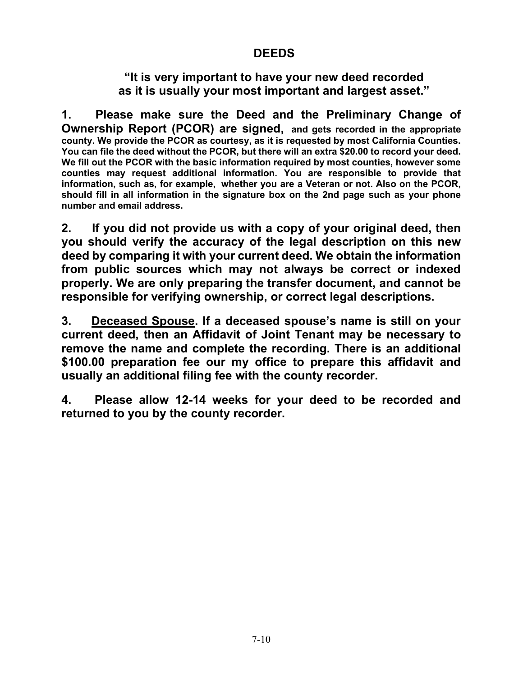# DEEDS

"It is very important to have your new deed recorded as it is usually your most important and largest asset."

1. Please make sure the Deed and the Preliminary Change of Ownership Report (PCOR) are signed, and gets recorded in the appropriate county. We provide the PCOR as courtesy, as it is requested by most California Counties. You can file the deed without the PCOR, but there will an extra \$20.00 to record your deed. We fill out the PCOR with the basic information required by most counties, however some counties may request additional information. You are responsible to provide that information, such as, for example, whether you are a Veteran or not. Also on the PCOR, should fill in all information in the signature box on the 2nd page such as your phone number and email address.

2. If you did not provide us with a copy of your original deed, then you should verify the accuracy of the legal description on this new deed by comparing it with your current deed. We obtain the information from public sources which may not always be correct or indexed properly. We are only preparing the transfer document, and cannot be responsible for verifying ownership, or correct legal descriptions.

3. Deceased Spouse. If a deceased spouse's name is still on your current deed, then an Affidavit of Joint Tenant may be necessary to remove the name and complete the recording. There is an additional \$100.00 preparation fee our my office to prepare this affidavit and usually an additional filing fee with the county recorder.

4. Please allow 12-14 weeks for your deed to be recorded and returned to you by the county recorder.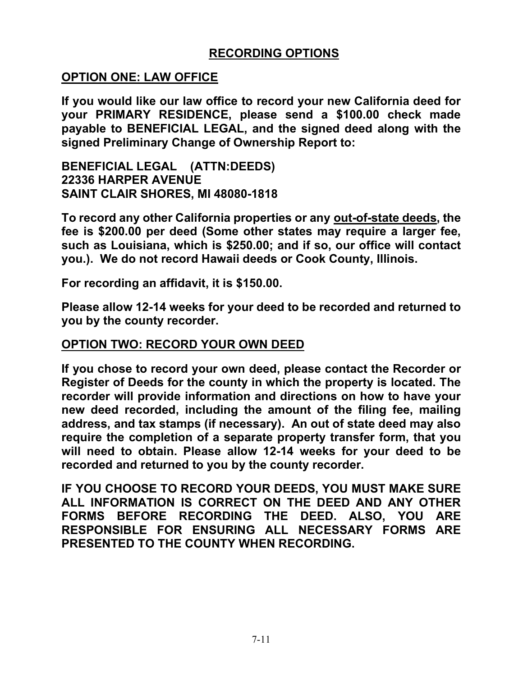# RECORDING OPTIONS

### OPTION ONE: LAW OFFICE

If you would like our law office to record your new California deed for your PRIMARY RESIDENCE, please send a \$100.00 check made payable to BENEFICIAL LEGAL, and the signed deed along with the signed Preliminary Change of Ownership Report to:

BENEFICIAL LEGAL (ATTN:DEEDS) 22336 HARPER AVENUE SAINT CLAIR SHORES, MI 48080-1818

To record any other California properties or any out-of-state deeds, the fee is \$200.00 per deed (Some other states may require a larger fee, such as Louisiana, which is \$250.00; and if so, our office will contact you.). We do not record Hawaii deeds or Cook County, Illinois.

For recording an affidavit, it is \$150.00.

Please allow 12-14 weeks for your deed to be recorded and returned to you by the county recorder.

#### OPTION TWO: RECORD YOUR OWN DEED

If you chose to record your own deed, please contact the Recorder or Register of Deeds for the county in which the property is located. The recorder will provide information and directions on how to have your new deed recorded, including the amount of the filing fee, mailing address, and tax stamps (if necessary). An out of state deed may also require the completion of a separate property transfer form, that you will need to obtain. Please allow 12-14 weeks for your deed to be recorded and returned to you by the county recorder.

IF YOU CHOOSE TO RECORD YOUR DEEDS, YOU MUST MAKE SURE ALL INFORMATION IS CORRECT ON THE DEED AND ANY OTHER FORMS BEFORE RECORDING THE DEED. ALSO, YOU ARE RESPONSIBLE FOR ENSURING ALL NECESSARY FORMS ARE PRESENTED TO THE COUNTY WHEN RECORDING.